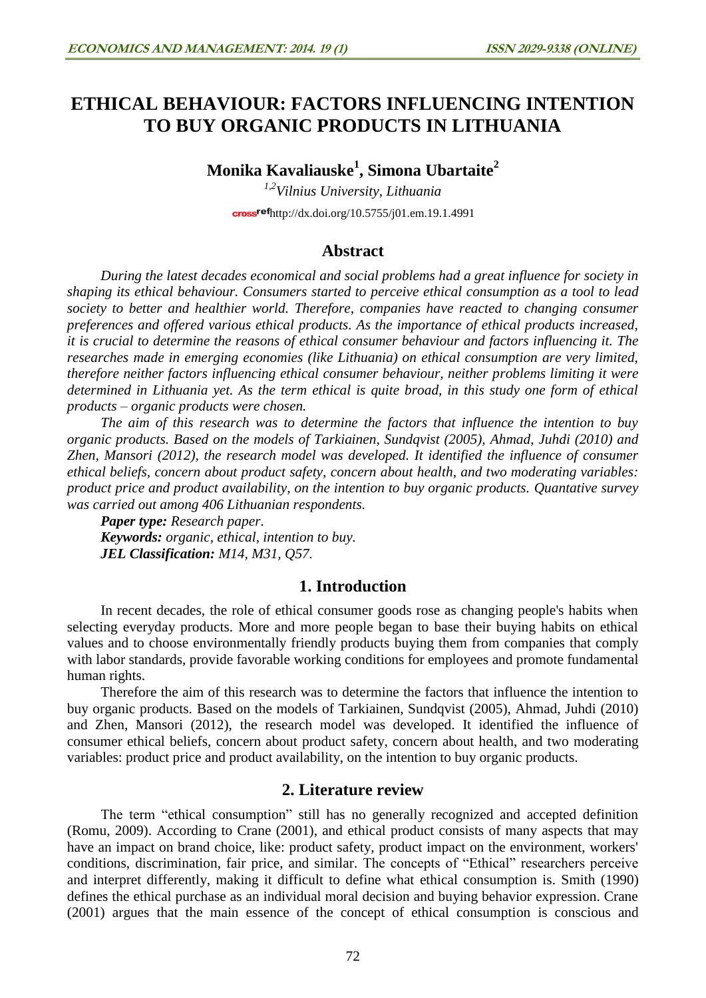# **ETHICAL BEHAVIOUR: FACTORS INFLUENCING INTENTION TO BUY ORGANIC PRODUCTS IN LITHUANIA**

**Monika Kavaliauske 1 , Simona Ubartaite 2**

*1,2Vilnius University, Lithuania*  $\frac{\text{crossref}}{\text{http://dx.doi.org/10.5755/j01.em.19.1.4991}}$  $\frac{\text{crossref}}{\text{http://dx.doi.org/10.5755/j01.em.19.1.4991}}$  $\frac{\text{crossref}}{\text{http://dx.doi.org/10.5755/j01.em.19.1.4991}}$ 

# **Abstract**

*During the latest decades economical and social problems had a great influence for society in shaping its ethical behaviour. Consumers started to perceive ethical consumption as a tool to lead society to better and healthier world. Therefore, companies have reacted to changing consumer preferences and offered various ethical products. As the importance of ethical products increased, it is crucial to determine the reasons of ethical consumer behaviour and factors influencing it. The researches made in emerging economies (like Lithuania) on ethical consumption are very limited, therefore neither factors influencing ethical consumer behaviour, neither problems limiting it were determined in Lithuania yet. As the term ethical is quite broad, in this study one form of ethical products – organic products were chosen.* 

*The aim of this research was to determine the factors that influence the intention to buy organic products. Based on the models of Tarkiainen, Sundqvist (2005), Ahmad, Juhdi (2010) and Zhen, Mansori (2012), the research model was developed. It identified the influence of consumer ethical beliefs, concern about product safety, concern about health, and two moderating variables: product price and product availability, on the intention to buy organic products. Quantative survey was carried out among 406 Lithuanian respondents.*

*Paper type: Research paper. Keywords: organic, ethical, intention to buy. JEL Classification: M14, M31, Q57.*

# **1. Introduction**

In recent decades, the role of ethical consumer goods rose as changing people's habits when selecting everyday products. More and more people began to base their buying habits on ethical values and to choose environmentally friendly products buying them from companies that comply with labor standards, provide favorable working conditions for employees and promote fundamental human rights.

Therefore the aim of this research was to determine the factors that influence the intention to buy organic products. Based on the models of Tarkiainen, Sundqvist (2005), Ahmad, Juhdi (2010) and Zhen, Mansori (2012), the research model was developed. It identified the influence of consumer ethical beliefs, concern about product safety, concern about health, and two moderating variables: product price and product availability, on the intention to buy organic products.

# **2. Literature review**

The term "ethical consumption" still has no generally recognized and accepted definition (Romu, 2009). According to Crane (2001), and ethical product consists of many aspects that may have an impact on brand choice, like: product safety, product impact on the environment, workers' conditions, discrimination, fair price, and similar. The concepts of "Ethical" researchers perceive and interpret differently, making it difficult to define what ethical consumption is. Smith (1990) defines the ethical purchase as an individual moral decision and buying behavior expression. Crane (2001) argues that the main essence of the concept of ethical consumption is conscious and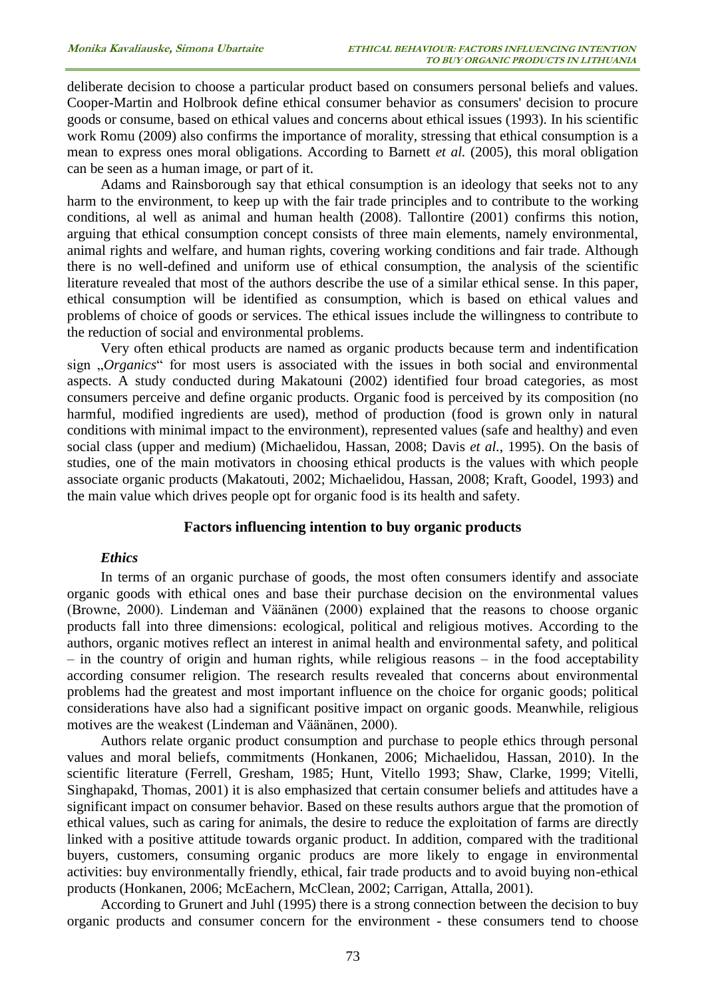deliberate decision to choose a particular product based on consumers personal beliefs and values. Cooper-Martin and Holbrook define ethical consumer behavior as consumers' decision to procure goods or consume, based on ethical values and concerns about ethical issues (1993). In his scientific work Romu (2009) also confirms the importance of morality, stressing that ethical consumption is a mean to express ones moral obligations. According to Barnett *et al.* (2005), this moral obligation can be seen as a human image, or part of it.

Adams and Rainsborough say that ethical consumption is an ideology that seeks not to any harm to the environment, to keep up with the fair trade principles and to contribute to the working conditions, al well as animal and human health (2008). Tallontire (2001) confirms this notion, arguing that ethical consumption concept consists of three main elements, namely environmental, animal rights and welfare, and human rights, covering working conditions and fair trade. Although there is no well-defined and uniform use of ethical consumption, the analysis of the scientific literature revealed that most of the authors describe the use of a similar ethical sense. In this paper, ethical consumption will be identified as consumption, which is based on ethical values and problems of choice of goods or services. The ethical issues include the willingness to contribute to the reduction of social and environmental problems.

Very often ethical products are named as organic products because term and indentification sign "Organics" for most users is associated with the issues in both social and environmental aspects. A study conducted during Makatouni (2002) identified four broad categories, as most consumers perceive and define organic products. Organic food is perceived by its composition (no harmful, modified ingredients are used), method of production (food is grown only in natural conditions with minimal impact to the environment), represented values (safe and healthy) and even social class (upper and medium) (Michaelidou, Hassan, 2008; Davis *et al.*, 1995). On the basis of studies, one of the main motivators in choosing ethical products is the values with which people associate organic products (Makatouti, 2002; Michaelidou, Hassan, 2008; Kraft, Goodel, 1993) and the main value which drives people opt for organic food is its health and safety.

### **Factors influencing intention to buy organic products**

#### *Ethics*

In terms of an organic purchase of goods, the most often consumers identify and associate organic goods with ethical ones and base their purchase decision on the environmental values (Browne, 2000). Lindeman and Väänänen (2000) explained that the reasons to choose organic products fall into three dimensions: ecological, political and religious motives. According to the authors, organic motives reflect an interest in animal health and environmental safety, and political – in the country of origin and human rights, while religious reasons – in the food acceptability according consumer religion. The research results revealed that concerns about environmental problems had the greatest and most important influence on the choice for organic goods; political considerations have also had a significant positive impact on organic goods. Meanwhile, religious motives are the weakest (Lindeman and Väänänen, 2000).

Authors relate organic product consumption and purchase to people ethics through personal values and moral beliefs, commitments (Honkanen, 2006; Michaelidou, Hassan, 2010). In the scientific literature (Ferrell, Gresham, 1985; Hunt, Vitello 1993; Shaw, Clarke, 1999; Vitelli, Singhapakd, Thomas, 2001) it is also emphasized that certain consumer beliefs and attitudes have a significant impact on consumer behavior. Based on these results authors argue that the promotion of ethical values, such as caring for animals, the desire to reduce the exploitation of farms are directly linked with a positive attitude towards organic product. In addition, compared with the traditional buyers, customers, consuming organic producs are more likely to engage in environmental activities: buy environmentally friendly, ethical, fair trade products and to avoid buying non-ethical products (Honkanen, 2006; McEachern, McClean, 2002; Carrigan, Attalla, 2001).

According to Grunert and Juhl (1995) there is a strong connection between the decision to buy organic products and consumer concern for the environment - these consumers tend to choose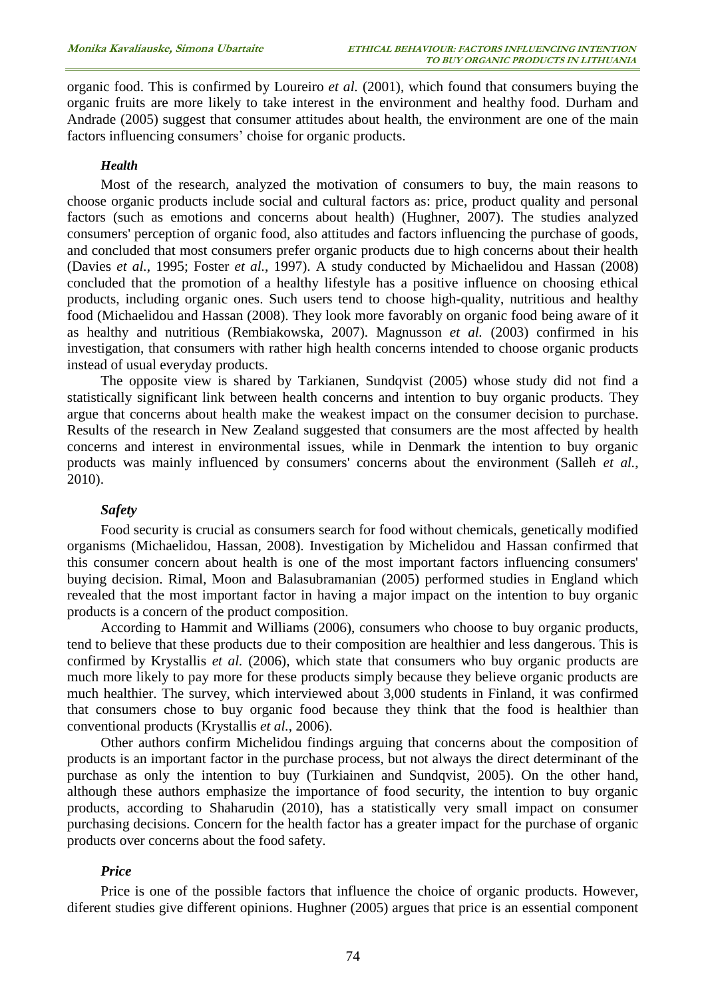organic food. This is confirmed by Loureiro *et al.* (2001), which found that consumers buying the organic fruits are more likely to take interest in the environment and healthy food. Durham and Andrade (2005) suggest that consumer attitudes about health, the environment are one of the main factors influencing consumers' choise for organic products.

#### *Health*

Most of the research, analyzed the motivation of consumers to buy, the main reasons to choose organic products include social and cultural factors as: price, product quality and personal factors (such as emotions and concerns about health) (Hughner, 2007). The studies analyzed consumers' perception of organic food, also attitudes and factors influencing the purchase of goods, and concluded that most consumers prefer organic products due to high concerns about their health (Davies *et al.*, 1995; Foster *et al.*, 1997). A study conducted by Michaelidou and Hassan (2008) concluded that the promotion of a healthy lifestyle has a positive influence on choosing ethical products, including organic ones. Such users tend to choose high-quality, nutritious and healthy food (Michaelidou and Hassan (2008). They look more favorably on organic food being aware of it as healthy and nutritious (Rembiakowska, 2007). Magnusson *et al.* (2003) confirmed in his investigation, that consumers with rather high health concerns intended to choose organic products instead of usual everyday products.

The opposite view is shared by Tarkianen, Sundqvist (2005) whose study did not find a statistically significant link between health concerns and intention to buy organic products. They argue that concerns about health make the weakest impact on the consumer decision to purchase. Results of the research in New Zealand suggested that consumers are the most affected by health concerns and interest in environmental issues, while in Denmark the intention to buy organic products was mainly influenced by consumers' concerns about the environment (Salleh *et al.*, 2010).

#### *Safety*

Food security is crucial as consumers search for food without chemicals, genetically modified organisms (Michaelidou, Hassan, 2008). Investigation by Michelidou and Hassan confirmed that this consumer concern about health is one of the most important factors influencing consumers' buying decision. Rimal, Moon and Balasubramanian (2005) performed studies in England which revealed that the most important factor in having a major impact on the intention to buy organic products is a concern of the product composition.

According to Hammit and Williams (2006), consumers who choose to buy organic products, tend to believe that these products due to their composition are healthier and less dangerous. This is confirmed by Krystallis *et al.* (2006), which state that consumers who buy organic products are much more likely to pay more for these products simply because they believe organic products are much healthier. The survey, which interviewed about 3,000 students in Finland, it was confirmed that consumers chose to buy organic food because they think that the food is healthier than conventional products (Krystallis *et al.*, 2006).

Other authors confirm Michelidou findings arguing that concerns about the composition of products is an important factor in the purchase process, but not always the direct determinant of the purchase as only the intention to buy (Turkiainen and Sundqvist, 2005). On the other hand, although these authors emphasize the importance of food security, the intention to buy organic products, according to Shaharudin (2010), has a statistically very small impact on consumer purchasing decisions. Concern for the health factor has a greater impact for the purchase of organic products over concerns about the food safety.

#### *Price*

Price is one of the possible factors that influence the choice of organic products. However, diferent studies give different opinions. Hughner (2005) argues that price is an essential component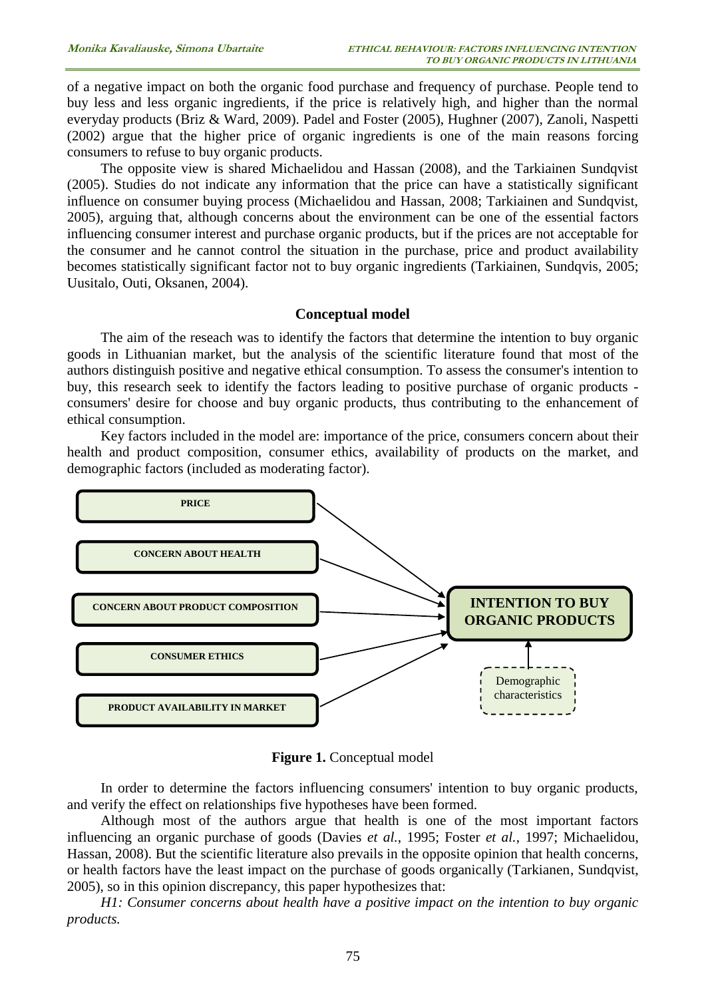of a negative impact on both the organic food purchase and frequency of purchase. People tend to buy less and less organic ingredients, if the price is relatively high, and higher than the normal everyday products (Briz & Ward, 2009). Padel and Foster (2005), Hughner (2007), Zanoli, Naspetti (2002) argue that the higher price of organic ingredients is one of the main reasons forcing consumers to refuse to buy organic products.

The opposite view is shared Michaelidou and Hassan (2008), and the Tarkiainen Sundqvist (2005). Studies do not indicate any information that the price can have a statistically significant influence on consumer buying process (Michaelidou and Hassan, 2008; Tarkiainen and Sundqvist, 2005), arguing that, although concerns about the environment can be one of the essential factors influencing consumer interest and purchase organic products, but if the prices are not acceptable for the consumer and he cannot control the situation in the purchase, price and product availability becomes statistically significant factor not to buy organic ingredients (Tarkiainen, Sundqvis, 2005; Uusitalo, Outi, Oksanen, 2004).

#### **Conceptual model**

The aim of the reseach was to identify the factors that determine the intention to buy organic goods in Lithuanian market, but the analysis of the scientific literature found that most of the authors distinguish positive and negative ethical consumption. To assess the consumer's intention to buy, this research seek to identify the factors leading to positive purchase of organic products consumers' desire for choose and buy organic products, thus contributing to the enhancement of ethical consumption.

Key factors included in the model are: importance of the price, consumers concern about their health and product composition, consumer ethics, availability of products on the market, and demographic factors (included as moderating factor).



**Figure 1.** Conceptual model

In order to determine the factors influencing consumers' intention to buy organic products, and verify the effect on relationships five hypotheses have been formed.

Although most of the authors argue that health is one of the most important factors influencing an organic purchase of goods (Davies *et al.*, 1995; Foster *et al.*, 1997; Michaelidou, Hassan, 2008). But the scientific literature also prevails in the opposite opinion that health concerns, or health factors have the least impact on the purchase of goods organically (Tarkianen, Sundqvist, 2005), so in this opinion discrepancy, this paper hypothesizes that:

*H1: Consumer concerns about health have a positive impact on the intention to buy organic products.*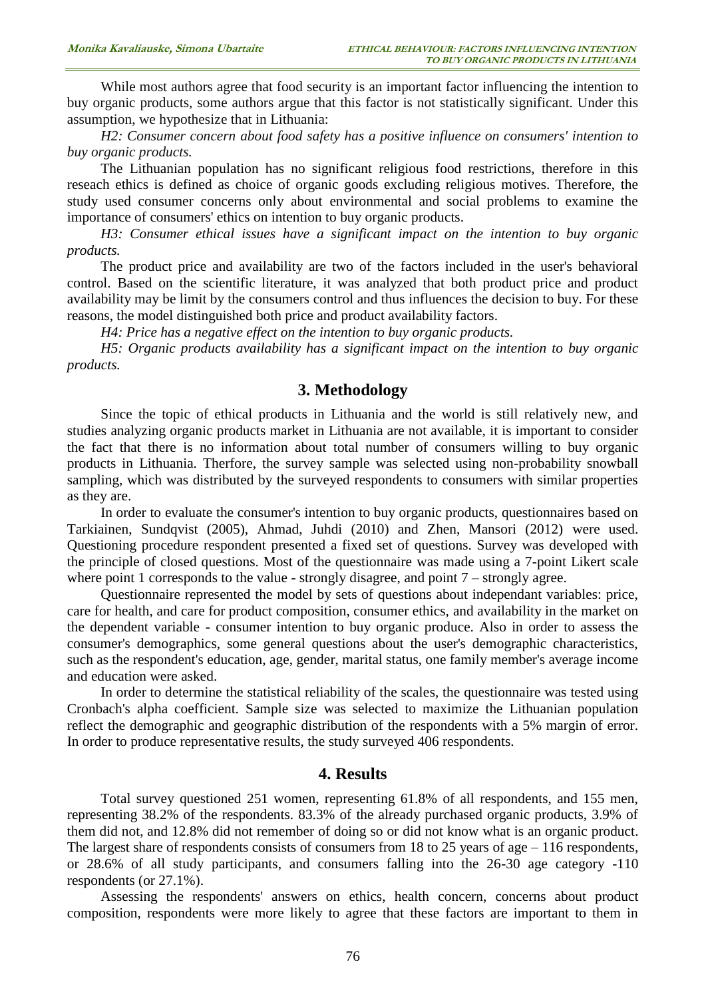While most authors agree that food security is an important factor influencing the intention to buy organic products, some authors argue that this factor is not statistically significant. Under this assumption, we hypothesize that in Lithuania:

*H2: Consumer concern about food safety has a positive influence on consumers' intention to buy organic products.*

The Lithuanian population has no significant religious food restrictions, therefore in this reseach ethics is defined as choice of organic goods excluding religious motives. Therefore, the study used consumer concerns only about environmental and social problems to examine the importance of consumers' ethics on intention to buy organic products.

*H3: Consumer ethical issues have a significant impact on the intention to buy organic products.*

The product price and availability are two of the factors included in the user's behavioral control. Based on the scientific literature, it was analyzed that both product price and product availability may be limit by the consumers control and thus influences the decision to buy. For these reasons, the model distinguished both price and product availability factors.

*H4: Price has a negative effect on the intention to buy organic products.*

*H5: Organic products availability has a significant impact on the intention to buy organic products.*

## **3. Methodology**

Since the topic of ethical products in Lithuania and the world is still relatively new, and studies analyzing organic products market in Lithuania are not available, it is important to consider the fact that there is no information about total number of consumers willing to buy organic products in Lithuania. Therfore, the survey sample was selected using non-probability snowball sampling, which was distributed by the surveyed respondents to consumers with similar properties as they are.

In order to evaluate the consumer's intention to buy organic products, questionnaires based on Tarkiainen, Sundqvist (2005), Ahmad, Juhdi (2010) and Zhen, Mansori (2012) were used. Questioning procedure respondent presented a fixed set of questions. Survey was developed with the principle of closed questions. Most of the questionnaire was made using a 7-point Likert scale where point 1 corresponds to the value - strongly disagree, and point 7 – strongly agree.

Questionnaire represented the model by sets of questions about independant variables: price, care for health, and care for product composition, consumer ethics, and availability in the market on the dependent variable - consumer intention to buy organic produce. Also in order to assess the consumer's demographics, some general questions about the user's demographic characteristics, such as the respondent's education, age, gender, marital status, one family member's average income and education were asked.

In order to determine the statistical reliability of the scales, the questionnaire was tested using Cronbach's alpha coefficient. Sample size was selected to maximize the Lithuanian population reflect the demographic and geographic distribution of the respondents with a 5% margin of error. In order to produce representative results, the study surveyed 406 respondents.

## **4. Results**

Total survey questioned 251 women, representing 61.8% of all respondents, and 155 men, representing 38.2% of the respondents. 83.3% of the already purchased organic products, 3.9% of them did not, and 12.8% did not remember of doing so or did not know what is an organic product. The largest share of respondents consists of consumers from  $18$  to  $25$  years of age  $-116$  respondents, or 28.6% of all study participants, and consumers falling into the 26-30 age category -110 respondents (or 27.1%).

Assessing the respondents' answers on ethics, health concern, concerns about product composition, respondents were more likely to agree that these factors are important to them in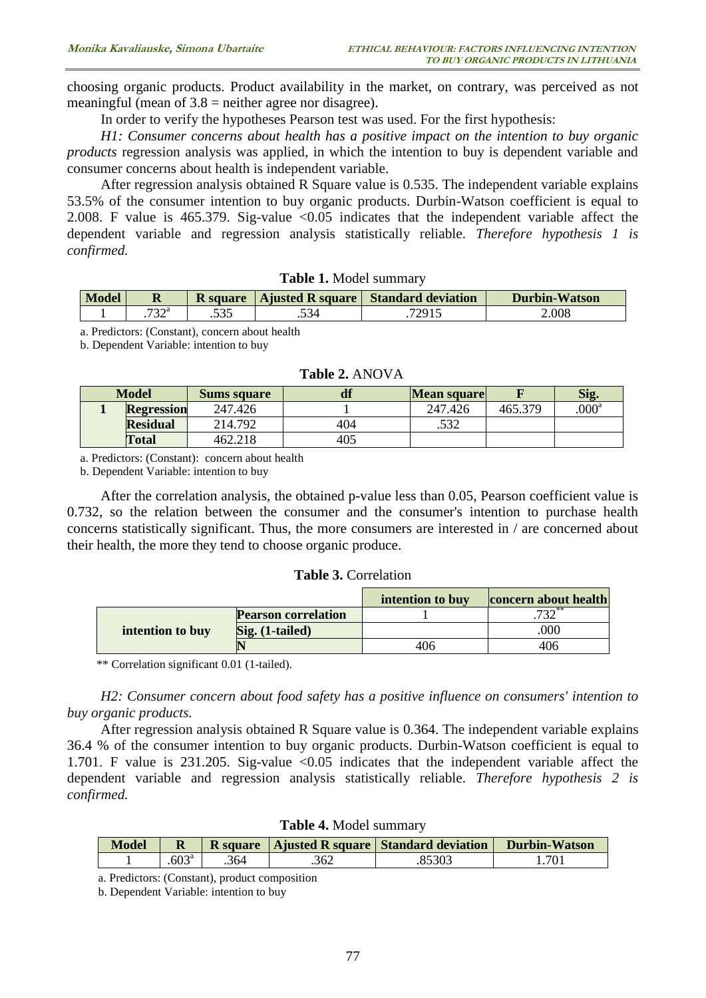choosing organic products. Product availability in the market, on contrary, was perceived as not meaningful (mean of  $3.8$  = neither agree nor disagree).

In order to verify the hypotheses Pearson test was used. For the first hypothesis:

*H1: Consumer concerns about health has a positive impact on the intention to buy organic products* regression analysis was applied, in which the intention to buy is dependent variable and consumer concerns about health is independent variable.

After regression analysis obtained R Square value is 0.535. The independent variable explains 53.5% of the consumer intention to buy organic products. Durbin-Watson coefficient is equal to 2.008. F value is 465.379. Sig-value  $\langle 0.05 \rangle$  indicates that the independent variable affect the dependent variable and regression analysis statistically reliable. *Therefore hypothesis 1 is confirmed.*

| <b>Model</b> |      |  | R square   Ajusted R square   Standard deviation | <b>Durbin-Watson</b> |  |
|--------------|------|--|--------------------------------------------------|----------------------|--|
|              | 700a |  | 72015<br>$\sim$ $\sim$ $\sim$                    | ۔008                 |  |
|              |      |  |                                                  |                      |  |

**Table 1.** Model summary

a. Predictors: (Constant), concern about health

b. Dependent Variable: intention to buy

| <b>Model</b> |                   | <b>Sums square</b> | df  | Mean square |         | Sig     |
|--------------|-------------------|--------------------|-----|-------------|---------|---------|
|              | <b>Regression</b> | 247.426            |     | 247.426     | 465.379 | $000^a$ |
|              | <b>Residual</b>   | 214.792            | 404 | 527         |         |         |
|              | <b>Total</b>      | 462.218            | 405 |             |         |         |

#### **Table 2.** ANOVA

a. Predictors: (Constant): concern about health

b. Dependent Variable: intention to buy

After the correlation analysis, the obtained p-value less than 0.05, Pearson coefficient value is 0.732, so the relation between the consumer and the consumer's intention to purchase health concerns statistically significant. Thus, the more consumers are interested in / are concerned about their health, the more they tend to choose organic produce.

#### **Table 3.** Correlation

|                  |                            | intention to buy | concern about health |
|------------------|----------------------------|------------------|----------------------|
|                  | <b>Pearson correlation</b> |                  |                      |
| intention to buy | Sig. (1-tailed)            |                  | 000                  |
|                  |                            | 406              | 406                  |

\*\* Correlation significant 0.01 (1-tailed).

*H2: Consumer concern about food safety has a positive influence on consumers' intention to buy organic products.*

After regression analysis obtained R Square value is 0.364. The independent variable explains 36.4 % of the consumer intention to buy organic products. Durbin-Watson coefficient is equal to 1.701. F value is 231.205. Sig-value <0.05 indicates that the independent variable affect the dependent variable and regression analysis statistically reliable. *Therefore hypothesis 2 is confirmed.*

| <b>Model</b> |                   |      |      | R square   Ajusted R square   Standard deviation | <b>Durbin-Watson</b> |  |
|--------------|-------------------|------|------|--------------------------------------------------|----------------------|--|
|              | .603 <sup>a</sup> | .364 | .362 |                                                  | .701                 |  |

**Table 4.** Model summary

a. Predictors: (Constant), product composition

b. Dependent Variable: intention to buy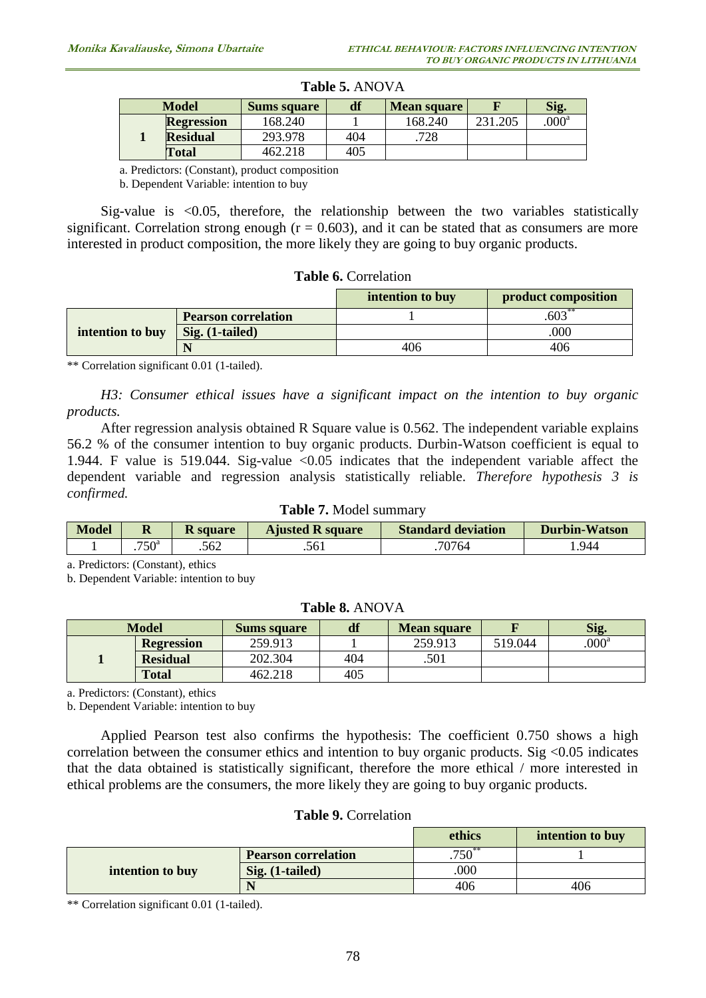|  | <b>Model</b>      | <b>Sums square</b> | df  | Mean square |         | Sig.    |
|--|-------------------|--------------------|-----|-------------|---------|---------|
|  | <b>Regression</b> | 168.240            |     | 168.240     | 231.205 | $000^a$ |
|  | <b>Residual</b>   | 293.978            | 404 | 728         |         |         |
|  | <b>Total</b>      | 462.218            | 405 |             |         |         |

### **Table 5.** ANOVA

a. Predictors: (Constant), product composition

b. Dependent Variable: intention to buy

Sig-value is <0.05, therefore, the relationship between the two variables statistically significant. Correlation strong enough ( $r = 0.603$ ), and it can be stated that as consumers are more interested in product composition, the more likely they are going to buy organic products.

### **Table 6.** Correlation

|                  |                            | intention to buy | product composition |
|------------------|----------------------------|------------------|---------------------|
| intention to buy | <b>Pearson correlation</b> |                  | $.603**$            |
|                  | $Sig. (1-tailed)$          |                  | .000                |
|                  |                            | 406              | 406                 |

\*\* Correlation significant 0.01 (1-tailed).

*H3: Consumer ethical issues have a significant impact on the intention to buy organic products.*

After regression analysis obtained R Square value is 0.562. The independent variable explains 56.2 % of the consumer intention to buy organic products. Durbin-Watson coefficient is equal to 1.944. F value is 519.044. Sig-value <0.05 indicates that the independent variable affect the dependent variable and regression analysis statistically reliable. *Therefore hypothesis 3 is confirmed.*

#### **Table 7.** Model summary

| Model | R                 | <b>K</b> square | <b>Ajusted R square</b> | <b>Standard deviation</b> | <b>Durbin-Watson</b> |
|-------|-------------------|-----------------|-------------------------|---------------------------|----------------------|
|       | .750 <sup>a</sup> | .562            | .561                    | 70764                     | 944                  |

a. Predictors: (Constant), ethics

b. Dependent Variable: intention to buy

### **Table 8.** ANOVA

| <b>Model</b> |                   | <b>Sums square</b> | df  | <b>Mean square</b> |         | Sig.              |
|--------------|-------------------|--------------------|-----|--------------------|---------|-------------------|
|              | <b>Regression</b> | 259.913            |     | 259.913            | 519.044 | .000 <sup>a</sup> |
|              | <b>Residual</b>   | 202.304            | 404 | .501               |         |                   |
|              | <b>Total</b>      | 462.218            | 405 |                    |         |                   |

a. Predictors: (Constant), ethics

b. Dependent Variable: intention to buy

Applied Pearson test also confirms the hypothesis: The coefficient 0.750 shows a high correlation between the consumer ethics and intention to buy organic products. Sig  $\leq 0.05$  indicates that the data obtained is statistically significant, therefore the more ethical / more interested in ethical problems are the consumers, the more likely they are going to buy organic products.

#### **Table 9.** Correlation

|                  |                            | ethics      | intention to buy |
|------------------|----------------------------|-------------|------------------|
|                  | <b>Pearson correlation</b> | $.750^{**}$ |                  |
| intention to buy | Sig. (1-tailed)            | 000         |                  |
|                  |                            | 406         | 406              |

\*\* Correlation significant 0.01 (1-tailed).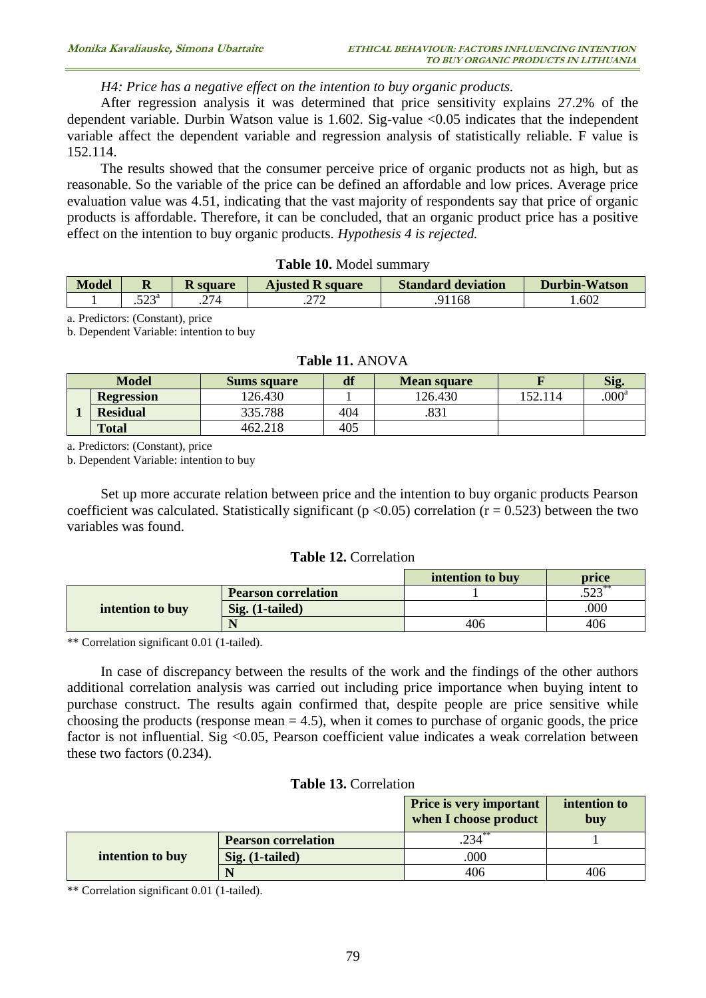## *H4: Price has a negative effect on the intention to buy organic products.*

After regression analysis it was determined that price sensitivity explains 27.2% of the dependent variable. Durbin Watson value is 1.602. Sig-value <0.05 indicates that the independent variable affect the dependent variable and regression analysis of statistically reliable. F value is 152.114.

The results showed that the consumer perceive price of organic products not as high, but as reasonable. So the variable of the price can be defined an affordable and low prices. Average price evaluation value was 4.51, indicating that the vast majority of respondents say that price of organic products is affordable. Therefore, it can be concluded, that an organic product price has a positive effect on the intention to buy organic products. *Hypothesis 4 is rejected.*

#### **Table 10.** Model summary

| Model | R              | K square        | <b>Ajusted R square</b> | <b>Standard deviation</b> | Durbin-Watson |
|-------|----------------|-----------------|-------------------------|---------------------------|---------------|
|       | cnna<br>ت سے ب | 27 <sub>A</sub> | ריר<br>. <u>.</u>       | .168                      | .602          |

a. Predictors: (Constant), price

b. Dependent Variable: intention to buy

### **Table 11.** ANOVA

|  | <b>Model</b>      | <b>Sums square</b> | df  | <b>Mean square</b> |        | Sig               |
|--|-------------------|--------------------|-----|--------------------|--------|-------------------|
|  | <b>Regression</b> | 126.430            |     | 126.430            | 52.114 | .000 <sup>a</sup> |
|  | <b>Residual</b>   | 335.788            | 404 | 831                |        |                   |
|  | <b>Total</b>      | 462.218            | 405 |                    |        |                   |

a. Predictors: (Constant), price

b. Dependent Variable: intention to buy

Set up more accurate relation between price and the intention to buy organic products Pearson coefficient was calculated. Statistically significant ( $p < 0.05$ ) correlation ( $r = 0.523$ ) between the two variables was found.

#### **Table 12.** Correlation

|                  |                            | intention to buy | price               |
|------------------|----------------------------|------------------|---------------------|
|                  | <b>Pearson correlation</b> |                  | $\epsilon$<br>ر ے ت |
| intention to buy | $Sig. (1-tailed)$          |                  | .000                |
|                  |                            | 406              | 406                 |

\*\* Correlation significant 0.01 (1-tailed).

In case of discrepancy between the results of the work and the findings of the other authors additional correlation analysis was carried out including price importance when buying intent to purchase construct. The results again confirmed that, despite people are price sensitive while choosing the products (response mean  $= 4.5$ ), when it comes to purchase of organic goods, the price factor is not influential. Sig <0.05, Pearson coefficient value indicates a weak correlation between these two factors (0.234).

## **Table 13.** Correlation

|                  |                            | <b>Price is very important</b><br>when I choose product | intention to<br>buy |
|------------------|----------------------------|---------------------------------------------------------|---------------------|
|                  | <b>Pearson correlation</b> |                                                         |                     |
| intention to buy | $Sig. (1-tailed)$          | .000                                                    |                     |
|                  |                            | 406                                                     | 406                 |

\*\* Correlation significant 0.01 (1-tailed).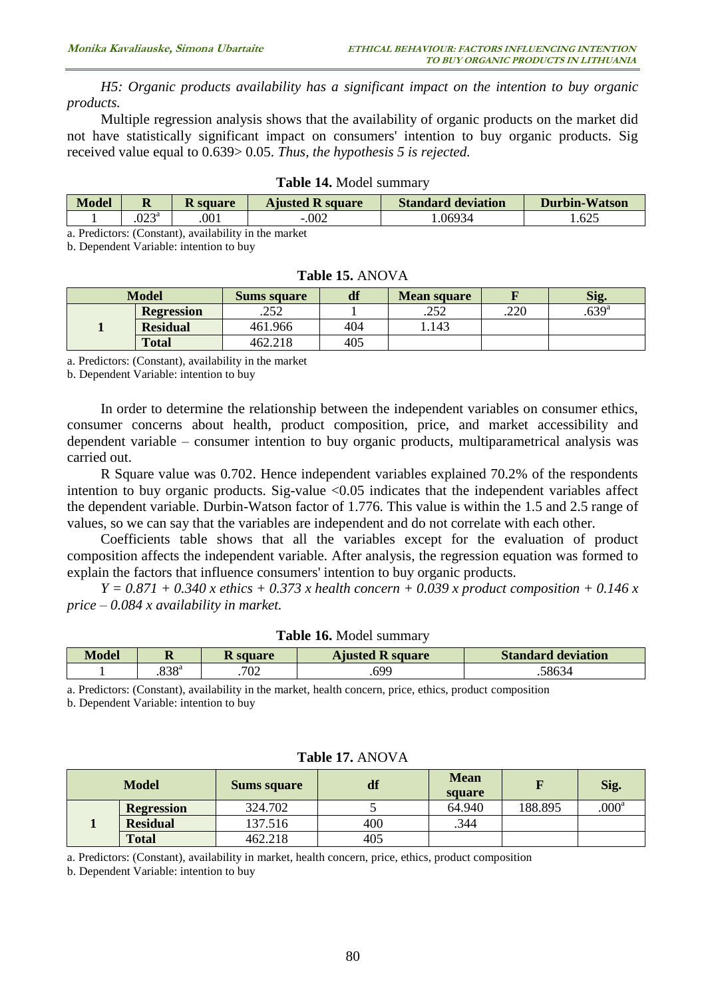*H5: Organic products availability has a significant impact on the intention to buy organic products.*

Multiple regression analysis shows that the availability of organic products on the market did not have statistically significant impact on consumers' intention to buy organic products. Sig received value equal to 0.639> 0.05. *Thus, the hypothesis 5 is rejected.*

| <b>Model</b> | <b>Ajusted R square</b><br><b>K</b> square<br>м |      | <b>Standard deviation</b> | <b>Durbin-Watson</b> |      |  |
|--------------|-------------------------------------------------|------|---------------------------|----------------------|------|--|
|              | ∩na<br>.UZJ                                     | .001 | .002                      | .06934               | .625 |  |
|              |                                                 |      |                           |                      |      |  |

#### **Table 14.** Model summary

a. Predictors: (Constant), availability in the market

b. Dependent Variable: intention to buy

|  | <b>Model</b>      | <b>Sums square</b> | df  | <b>Mean square</b> |      | Sig.       |
|--|-------------------|--------------------|-----|--------------------|------|------------|
|  | <b>Regression</b> | .252               |     | つべつ<br>.292        | .220 | $.639^{a}$ |
|  | <b>Residual</b>   | 461.966            | 404 | .143               |      |            |
|  | <b>Total</b>      | 462.218            | 405 |                    |      |            |

#### **Table 15.** ANOVA

a. Predictors: (Constant), availability in the market

b. Dependent Variable: intention to buy

In order to determine the relationship between the independent variables on consumer ethics, consumer concerns about health, product composition, price, and market accessibility and dependent variable – consumer intention to buy organic products, multiparametrical analysis was carried out.

R Square value was 0.702. Hence independent variables explained 70.2% of the respondents intention to buy organic products. Sig-value <0.05 indicates that the independent variables affect the dependent variable. Durbin-Watson factor of 1.776. This value is within the 1.5 and 2.5 range of values, so we can say that the variables are independent and do not correlate with each other.

Coefficients table shows that all the variables except for the evaluation of product composition affects the independent variable. After analysis, the regression equation was formed to explain the factors that influence consumers' intention to buy organic products.

*Y = 0.871 + 0.340 x ethics + 0.373 x health concern + 0.039 x product composition + 0.146 x price – 0.084 x availability in market.*

|                                                                                                           | ____             |     |      |       |  |  |  |
|-----------------------------------------------------------------------------------------------------------|------------------|-----|------|-------|--|--|--|
|                                                                                                           | 838 <sup>a</sup> | 702 | .699 | 58634 |  |  |  |
| a. Predictors: (Constant), availability in the market, health concern, price, ethics, product composition |                  |     |      |       |  |  |  |

**Table 16.** Model summary **Model R R square Ajusted R square Standard deviation**

b. Dependent Variable: intention to buy

| Table 17. ANOVA |                   |                    |     |                       |         |                   |  |
|-----------------|-------------------|--------------------|-----|-----------------------|---------|-------------------|--|
| <b>Model</b>    |                   | <b>Sums square</b> | df  | <b>Mean</b><br>square |         | Sig.              |  |
|                 | <b>Regression</b> | 324.702            |     | 64.940                | 188.895 | .000 <sup>a</sup> |  |
|                 | <b>Residual</b>   | 137.516            | 400 | .344                  |         |                   |  |
|                 | <b>Total</b>      | 462.218            | 405 |                       |         |                   |  |

a. Predictors: (Constant), availability in market, health concern, price, ethics, product composition

b. Dependent Variable: intention to buy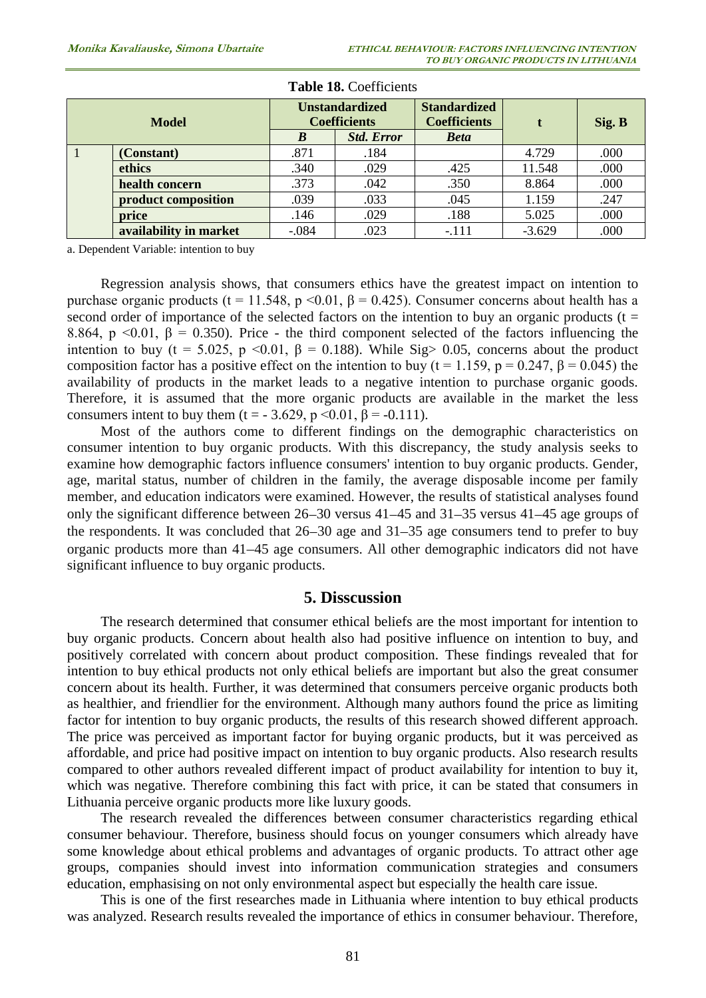| <b>Model</b>   |                        | <b>Unstandardized</b><br><b>Coefficients</b> |                   | <b>Standardized</b><br><b>Coefficients</b> |          | Sig. B |
|----------------|------------------------|----------------------------------------------|-------------------|--------------------------------------------|----------|--------|
|                |                        | B                                            | <b>Std. Error</b> | <b>Beta</b>                                |          |        |
| $\blacksquare$ | (Constant)             | .871                                         | .184              |                                            | 4.729    | .000   |
|                | ethics                 | .340                                         | .029              | .425                                       | 11.548   | .000   |
|                | health concern         | .373                                         | .042              | .350                                       | 8.864    | .000   |
|                | product composition    | .039                                         | .033              | .045                                       | 1.159    | .247   |
|                | price                  | .146                                         | .029              | .188                                       | 5.025    | .000   |
|                | availability in market | $-.084$                                      | .023              | $-.111$                                    | $-3.629$ | .000   |

#### **Table 18.** Coefficients

a. Dependent Variable: intention to buy

Regression analysis shows, that consumers ethics have the greatest impact on intention to purchase organic products (t = 11.548, p < 0.01, β = 0.425). Consumer concerns about health has a second order of importance of the selected factors on the intention to buy an organic products ( $t =$ 8.864, p <0.01,  $\beta$  = 0.350). Price - the third component selected of the factors influencing the intention to buy (t = 5.025, p <0.01,  $\beta$  = 0.188). While Sig > 0.05, concerns about the product composition factor has a positive effect on the intention to buy (t = 1.159, p = 0.247,  $\beta$  = 0.045) the availability of products in the market leads to a negative intention to purchase organic goods. Therefore, it is assumed that the more organic products are available in the market the less consumers intent to buy them (t = - 3.629, p < 0.01,  $\beta$  = -0.111).

Most of the authors come to different findings on the demographic characteristics on consumer intention to buy organic products. With this discrepancy, the study analysis seeks to examine how demographic factors influence consumers' intention to buy organic products. Gender, age, marital status, number of children in the family, the average disposable income per family member, and education indicators were examined. However, the results of statistical analyses found only the significant difference between  $26-30$  versus  $41-45$  and  $31-35$  versus  $41-45$  age groups of the respondents. It was concluded that  $26-30$  age and  $31-35$  age consumers tend to prefer to buy organic products more than 41 45 age consumers. All other demographic indicators did not have significant influence to buy organic products.

## **5. Disscussion**

The research determined that consumer ethical beliefs are the most important for intention to buy organic products. Concern about health also had positive influence on intention to buy, and positively correlated with concern about product composition. These findings revealed that for intention to buy ethical products not only ethical beliefs are important but also the great consumer concern about its health. Further, it was determined that consumers perceive organic products both as healthier, and friendlier for the environment. Although many authors found the price as limiting factor for intention to buy organic products, the results of this research showed different approach. The price was perceived as important factor for buying organic products, but it was perceived as affordable, and price had positive impact on intention to buy organic products. Also research results compared to other authors revealed different impact of product availability for intention to buy it, which was negative. Therefore combining this fact with price, it can be stated that consumers in Lithuania perceive organic products more like luxury goods.

The research revealed the differences between consumer characteristics regarding ethical consumer behaviour. Therefore, business should focus on younger consumers which already have some knowledge about ethical problems and advantages of organic products. To attract other age groups, companies should invest into information communication strategies and consumers education, emphasising on not only environmental aspect but especially the health care issue.

This is one of the first researches made in Lithuania where intention to buy ethical products was analyzed. Research results revealed the importance of ethics in consumer behaviour. Therefore,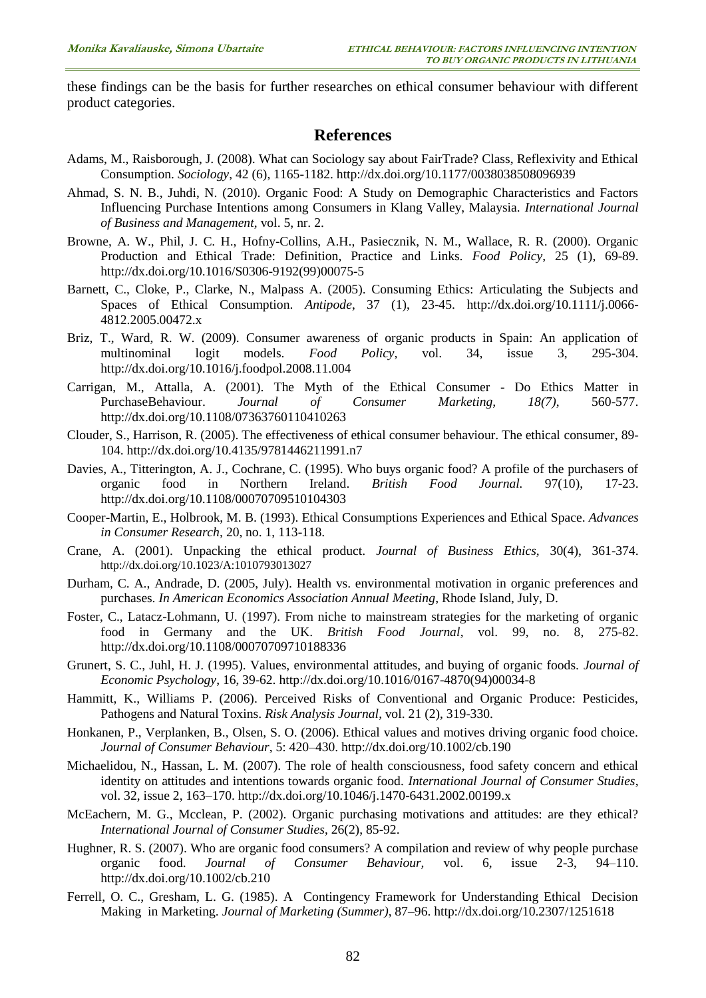these findings can be the basis for further researches on ethical consumer behaviour with different product categories.

## **References**

- Adams, M., Raisborough, J. (2008). What can Sociology say about FairTrade? Class, Reflexivity and Ethical Consumption. *Sociology*, 42 (6), 1165-1182.<http://dx.doi.org/10.1177/0038038508096939>
- Ahmad, S. N. B., Juhdi, N. (2010). Organic Food: A Study on Demographic Characteristics and Factors Influencing Purchase Intentions among Consumers in Klang Valley, Malaysia. *International Journal of Business and Management,* vol. 5, nr. 2.
- Browne, A. W., Phil, J. C. H., Hofny-Collins, A.H., Pasiecznik, N. M., Wallace, R. R. (2000). Organic Production and Ethical Trade: Definition, Practice and Links. *Food Policy*, 25 (1), 69-89. [http://dx.doi.org/10.1016/S0306-9192\(99\)00075-5](http://dx.doi.org/10.1016/S0306-9192(99)00075-5)
- Barnett, C., Cloke, P., Clarke, N., Malpass A. (2005). Consuming Ethics: Articulating the Subjects and Spaces of Ethical Consumption. *Antipode*, 37 (1), 23-45. [http://dx.doi.org/10.1111/j.0066-](http://dx.doi.org/10.1111/j.0066-4812.2005.00472.x) [4812.2005.00472.x](http://dx.doi.org/10.1111/j.0066-4812.2005.00472.x)
- Briz, T., Ward, R. W. (2009). Consumer awareness of organic products in Spain: An application of multinominal logit models. *Food Policy,* vol. 34, issue 3, 295-304. <http://dx.doi.org/10.1016/j.foodpol.2008.11.004>
- Carrigan, M., Attalla, A. (2001). The Myth of the Ethical Consumer Do Ethics Matter in PurchaseBehaviour. *Journal of Consumer Marketing, 18(7)*, 560-577. <http://dx.doi.org/10.1108/07363760110410263>
- Clouder, S., Harrison, R. (2005). The effectiveness of ethical consumer behaviour. The ethical consumer, 89- 104. <http://dx.doi.org/10.4135/9781446211991.n7>
- Davies, A., Titterington, A. J., Cochrane, C. (1995). Who buys organic food? A profile of the purchasers of organic food in Northern Ireland. *British Food Journal.* 97(10), 17-23. <http://dx.doi.org/10.1108/00070709510104303>
- Cooper-Martin, E., Holbrook, M. B. (1993). Ethical Consumptions Experiences and Ethical Space. *Advances in Consumer Research,* 20, no. 1, 113-118.
- Crane, A. (2001). Unpacking the ethical product. *Journal of Business Ethics,* 30(4), 361-374. <http://dx.doi.org/10.1023/A:1010793013027>
- Durham, C. A., Andrade, D. (2005, July). Health vs. environmental motivation in organic preferences and purchases. *In American Economics Association Annual Meeting*, Rhode Island, July, D.
- Foster, C., Latacz-Lohmann, U. (1997). From niche to mainstream strategies for the marketing of organic food in Germany and the UK. *British Food Journal*, vol. 99, no. 8, 275-82. <http://dx.doi.org/10.1108/00070709710188336>
- Grunert, S. C., Juhl, H. J. (1995). Values, environmental attitudes, and buying of organic foods. *Journal of Economic Psychology*, 16, 39-62. [http://dx.doi.org/10.1016/0167-4870\(94\)00034-8](http://dx.doi.org/10.1016/0167-4870(94)00034-8)
- Hammitt, K., Williams P. (2006). Perceived Risks of Conventional and Organic Produce: Pesticides, Pathogens and Natural Toxins. *Risk Analysis Journal*, vol. 21 (2), 319-330.
- Honkanen, P., Verplanken, B., Olsen, S. O. (2006). Ethical values and motives driving organic food choice. *Journal of Consumer Behaviour*, 5: 420–430.<http://dx.doi.org/10.1002/cb.190>
- Michaelidou, N., Hassan, L. M. (2007). The role of health consciousness, food safety concern and ethical identity on attitudes and intentions towards organic food. *International Journal of Consumer Studies*, vol. 32, issue 2, 163–170. <http://dx.doi.org/10.1046/j.1470-6431.2002.00199.x>
- McEachern, M. G., Mcclean, P. (2002). Organic purchasing motivations and attitudes: are they ethical? *International Journal of Consumer Studies*, 26(2), 85-92.
- Hughner, R. S. (2007). Who are organic food consumers? A compilation and review of why people purchase organic food. *Journal of Consumer Behaviour,* vol. 6, issue 2-3, 94–110. <http://dx.doi.org/10.1002/cb.210>
- Ferrell, O. C., Gresham, L. G. (1985). A Contingency Framework for Understanding Ethical Decision Making in Marketing. *Journal of Marketing (Summer)*, 87–96.<http://dx.doi.org/10.2307/1251618>